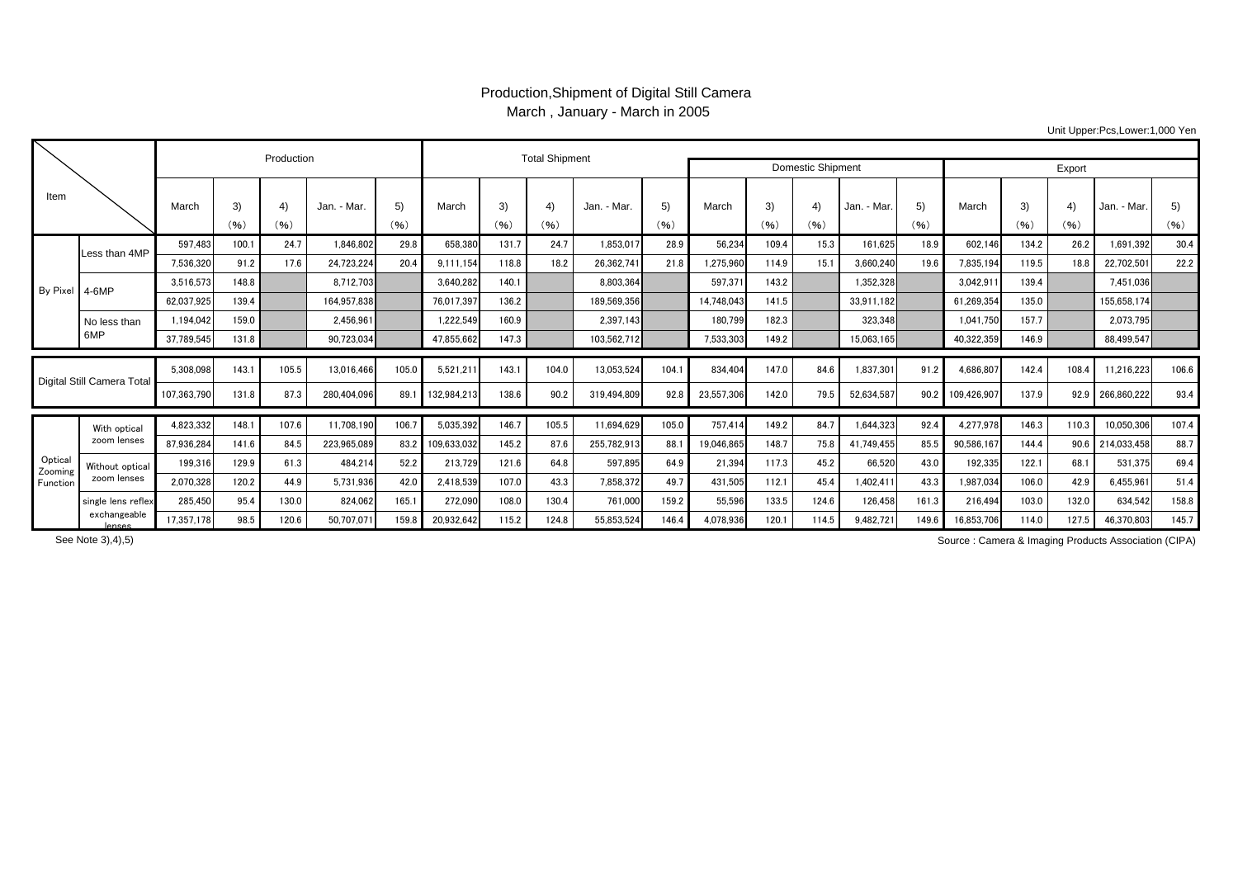## Production,Shipment of Digital Still Camera March , January - March in 2005

Unit Upper:Pcs,Lower:1,000 Yen

| Item                           |                                |                          |                | Production    |                           |               | <b>Total Shipment</b>    |                | <b>Domestic Shipment</b> | Export                    |               |                       |                |              |                         |              |                         |                |                        |                           |               |
|--------------------------------|--------------------------------|--------------------------|----------------|---------------|---------------------------|---------------|--------------------------|----------------|--------------------------|---------------------------|---------------|-----------------------|----------------|--------------|-------------------------|--------------|-------------------------|----------------|------------------------|---------------------------|---------------|
|                                |                                | March                    | 3)<br>(96)     | 4)<br>(96)    | Jan. - Mar.               | 5)<br>(96)    | March                    | 3)<br>(96)     | 4)<br>(96)               | Jan. - Mar.               | 5)<br>(96)    | March                 | 3)<br>(96)     | 4)<br>(96)   | Jan. - Mar.             | 5)<br>(96)   | March                   | 3)<br>(96)     | $\overline{4}$<br>(96) | Jan. - Mar.               | 5)<br>(96)    |
| By Pixel 4-6MP                 | Less than 4MP                  | 597.483                  | 100.7          | 24.7          | 1.846.802                 | 29.8          | 658,380                  | 131.7          | 24.7                     | 1.853.017                 | 28.9          | 56.234                | 109.4          | 15.3         | 161.625                 | 18.9         | 602.146                 | 134.2          | 26.2                   | 1.691.392                 | 30.4          |
|                                |                                | 7.536.320                | 91.2           | 17.6          | 24.723.224                | 20.4          | 9,111,154                | 118.8          | 18.2                     | 26.362.741                | 21.8          | ,275,960              | 114.9          | 15.1         | 3.660.240               | 19.6         | 7,835,194               | 119.5          | 18.8                   | 22,702,501                | 22.2          |
|                                |                                | 3,516,573                | 148.8          |               | 8,712,703                 |               | 3,640,282                | 140.1          |                          | 8,803,364                 |               | 597,371               | 143.2          |              | 1,352,328               |              | 3,042,91                | 139.4          |                        | 7,451,036                 |               |
|                                |                                | 62,037,92                | 139.4          |               | 164.957.838               |               | 76,017,397               | 136.2          |                          | 189,569,356               |               | 14,748,043            | 141.5          |              | 33.911.182              |              | 61,269,35               | 135.0          |                        | 155,658,174               |               |
|                                | No less than<br>6MP            | ,194,042                 | 159.0          |               | 2.456.961                 |               | 1,222,549                | 160.9          |                          | 2,397,143                 |               | 180,799               | 182.3          |              | 323,348                 |              | 1.041.750               | 157.7          |                        | 2.073.795                 |               |
|                                |                                | 37,789,545               | 131.8          |               | 90,723,034                |               | 47,855,662               | 147.3          |                          | 103,562,712               |               | 7,533,303             | 149.2          |              | 15,063,165              |              | 40.322.359              | 146.9          |                        | 88,499,547                |               |
| Digital Still Camera Total     |                                | 5,308,098<br>107,363,790 | 143.1<br>131.8 | 105.5<br>87.3 | 13,016,466<br>280.404.096 | 105.0<br>89.1 | 5,521,211<br>132,984,213 | 143.1<br>138.6 | 104.0<br>90.2            | 13,053,524<br>319.494.809 | 104.1<br>92.8 | 834,404<br>23,557,306 | 147.0<br>142.0 | 84.6<br>79.5 | 1,837,301<br>52,634,587 | 91.2<br>90.2 | 4,686,807<br>109.426.90 | 142.4<br>137.9 | 108.4<br>92.9          | 11,216,223<br>266,860,222 | 106.6<br>93.4 |
|                                |                                | 4,823,332                | 148.1          | 107.6         | 11.708.190                | 106.7         | 5.035.392                | 146.7          | 105.5                    | 11.694.629                | 105.0         | 757.414               | 149.2          | 84.7         | 1.644.323               | 92.4         | 4.277.978               | 146.3          | 110.3                  | 10.050.306                | 107.4         |
| Optical<br>Zooming<br>Function | With optical<br>zoom lenses    | 87.936.284               | 141.6          | 84.5          | 223.965.089               | 83.2          | 109.633.032              | 145.2          | 87.6                     | 255.782.913               | 88.1          | 19.046.865            | 148.7          | 75.8         | 41.749.455              | 85.5         | 90.586.167              | 144.4          | 90.6                   | 214.033.458               | 88.7          |
|                                | Without optical<br>zoom lenses | 199,316                  | 129.9          | 61.3          | 484.214                   | 52.2          | 213,729                  | 121.6          | 64.8                     | 597,895                   | 64.9          | 21,394                | 117.3          | 45.2         | 66,520                  | 43.0         | 192,335                 | 122.1          | 68.1                   | 531.375                   | 69.4          |
|                                |                                | 2,070,328                | 120.2          | 44.9          | 5,731,936                 | 42.0          | 2,418,539                | 107.0          | 43.3                     | 7,858,372                 | 49.7          | 431,505               | 112.1          | 45.4         | 1,402,41                | 43.3         | 1.987.034               | 106.0          | 42.9                   | 6,455,961                 | 51.4          |
|                                | single lens reflex             | 285,450                  | 95.4           | 130.0         | 824.062                   | 165.1         | 272,090                  | 108.0          | 130.4                    | 761,000                   | 159.2         | 55,596                | 133.5          | 124.6        | 126,458                 | 161.3        | 216,494                 | 103.0          | 132.0                  | 634.542                   | 158.8         |
|                                | exchangeable<br>lancac         | 17,357,178               | 98.5           | 120.6         | 50.707.07                 | 159.8         | 20,932,642               | 115.2          | 124.8                    | 55,853,524                | 146.4         | 4,078,936             | 120.1          | 114.5        | 9,482,721               | 149.6        | 16,853,706              | 114.0          | 127.5                  | 46,370,803                | 145.7         |

See Note 3),4),5)

Source : Camera & Imaging Products Association (CIPA)